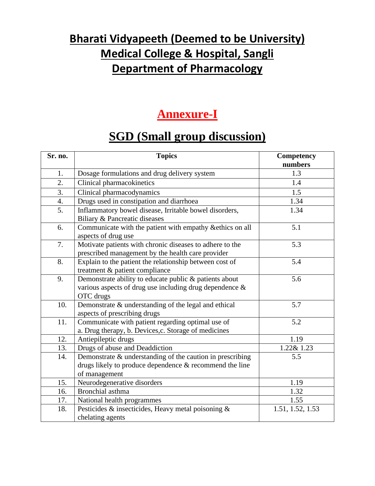## **Bharati Vidyapeeth (Deemed to be University) Medical College & Hospital, Sangli Department of Pharmacology**

### **Annexure-I**

## **SGD (Small group discussion)**

| Sr. no. | <b>Topics</b>                                                                                                                         | Competency<br>numbers |
|---------|---------------------------------------------------------------------------------------------------------------------------------------|-----------------------|
| 1.      | Dosage formulations and drug delivery system                                                                                          | 1.3                   |
| 2.      | Clinical pharmacokinetics                                                                                                             | 1.4                   |
| 3.      | Clinical pharmacodynamics                                                                                                             | 1.5                   |
| 4.      | Drugs used in constipation and diarrhoea                                                                                              | 1.34                  |
| 5.      | Inflammatory bowel disease, Irritable bowel disorders,<br>Biliary & Pancreatic diseases                                               | 1.34                  |
| 6.      | Communicate with the patient with empathy & ethics on all<br>aspects of drug use                                                      | 5.1                   |
| 7.      | Motivate patients with chronic diseases to adhere to the<br>prescribed management by the health care provider                         | 5.3                   |
| 8.      | Explain to the patient the relationship between cost of<br>treatment & patient compliance                                             | 5.4                   |
| 9.      | Demonstrate ability to educate public & patients about<br>various aspects of drug use including drug dependence $\&$<br>OTC drugs     | 5.6                   |
| 10.     | Demonstrate & understanding of the legal and ethical<br>aspects of prescribing drugs                                                  | 5.7                   |
| 11.     | Communicate with patient regarding optimal use of<br>a. Drug therapy, b. Devices, c. Storage of medicines                             | 5.2                   |
| 12.     | Antiepileptic drugs                                                                                                                   | 1.19                  |
| 13.     | Drugs of abuse and Deaddiction                                                                                                        | 1.22& 1.23            |
| 14.     | Demonstrate & understanding of the caution in prescribing<br>drugs likely to produce dependence & recommend the line<br>of management | 5.5                   |
| 15.     | Neurodegenerative disorders                                                                                                           | 1.19                  |
| 16.     | Bronchial asthma                                                                                                                      | 1.32                  |
| 17.     | National health programmes                                                                                                            | 1.55                  |
| 18.     | Pesticides & insecticides, Heavy metal poisoning &<br>chelating agents                                                                | 1.51, 1.52, 1.53      |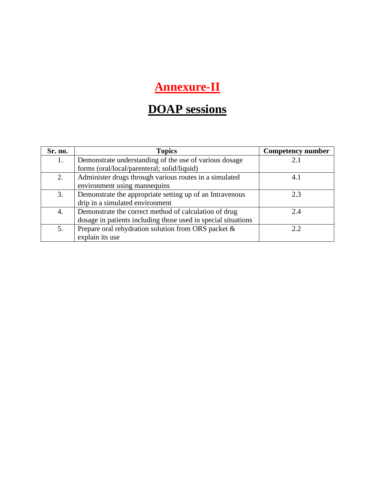# **Annexure-II**

# **DOAP sessions**

| Sr. no. | <b>Topics</b>                                                 | <b>Competency number</b> |
|---------|---------------------------------------------------------------|--------------------------|
| 1.      | Demonstrate understanding of the use of various dosage        |                          |
|         | forms (oral/local/parenteral; solid/liquid)                   |                          |
| 2.      | Administer drugs through various routes in a simulated        | 4.1                      |
|         | environment using mannequins                                  |                          |
| 3.      | Demonstrate the appropriate setting up of an Intravenous      | 2.3                      |
|         | drip in a simulated environment                               |                          |
| 4.      | Demonstrate the correct method of calculation of drug         | 2.4                      |
|         | dosage in patients including those used in special situations |                          |
| 5.      | Prepare oral rehydration solution from ORS packet &           |                          |
|         | explain its use                                               |                          |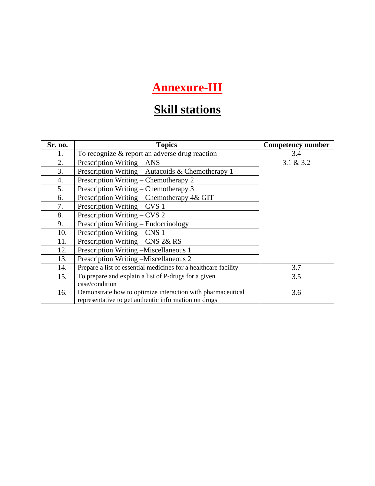# **Annexure-III**

# **Skill stations**

| Sr. no. | <b>Topics</b>                                                   | <b>Competency number</b> |
|---------|-----------------------------------------------------------------|--------------------------|
| 1.      | To recognize $&$ report an adverse drug reaction                | 3.4                      |
| 2.      | Prescription Writing $- ANS$                                    | 3.1 & 3.2                |
| 3.      | Prescription Writing – Autacoids & Chemotherapy 1               |                          |
| 4.      | Prescription Writing – Chemotherapy 2                           |                          |
| 5.      | Prescription Writing – Chemotherapy 3                           |                          |
| 6.      | Prescription Writing - Chemotherapy 4& GIT                      |                          |
| 7.      | Prescription Writing $-CVS$ 1                                   |                          |
| 8.      | Prescription Writing $-CVS$ 2                                   |                          |
| 9.      | Prescription Writing – Endocrinology                            |                          |
| 10.     | Prescription Writing - CNS 1                                    |                          |
| 11.     | Prescription Writing – CNS $2&RS$                               |                          |
| 12.     | Prescription Writing -Miscellaneous 1                           |                          |
| 13.     | Prescription Writing -Miscellaneous 2                           |                          |
| 14.     | Prepare a list of essential medicines for a healthcare facility | 3.7                      |
| 15.     | To prepare and explain a list of P-drugs for a given            | 3.5                      |
|         | case/condition                                                  |                          |
| 16.     | Demonstrate how to optimize interaction with pharmaceutical     | 3.6                      |
|         | representative to get authentic information on drugs            |                          |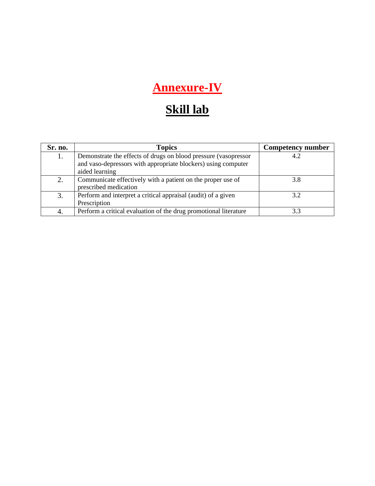# **Annexure-IV**

# **Skill lab**

| Sr. no. | <b>Topics</b>                                                    | <b>Competency number</b> |
|---------|------------------------------------------------------------------|--------------------------|
| 1.      | Demonstrate the effects of drugs on blood pressure (vasopressor  | 4.2                      |
|         | and vaso-depressors with appropriate blockers) using computer    |                          |
|         | aided learning                                                   |                          |
| 2.      | Communicate effectively with a patient on the proper use of      | 3.8                      |
|         | prescribed medication                                            |                          |
| 3.      | Perform and interpret a critical appraisal (audit) of a given    | 32                       |
|         | Prescription                                                     |                          |
| 4.      | Perform a critical evaluation of the drug promotional literature |                          |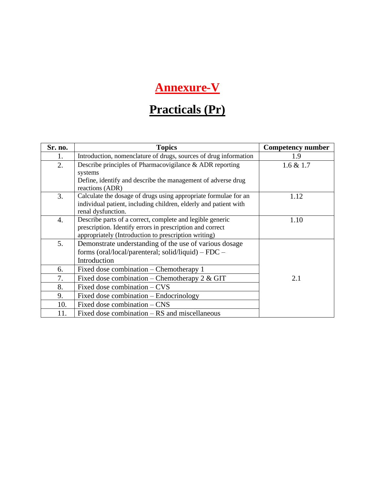# **Annexure-V**

# **Practicals (Pr)**

| Sr. no.          | <b>Topics</b>                                                    | <b>Competency number</b> |
|------------------|------------------------------------------------------------------|--------------------------|
| 1.               | Introduction, nomenclature of drugs, sources of drug information | 1.9                      |
| 2.               | Describe principles of Pharmacovigilance & ADR reporting         | $1.6 \& 1.7$             |
|                  | systems                                                          |                          |
|                  | Define, identify and describe the management of adverse drug     |                          |
|                  | reactions (ADR)                                                  |                          |
| 3.               | Calculate the dosage of drugs using appropriate formulae for an  | 1.12                     |
|                  | individual patient, including children, elderly and patient with |                          |
|                  | renal dysfunction.                                               |                          |
| $\overline{4}$ . | Describe parts of a correct, complete and legible generic        | 1.10                     |
|                  | prescription. Identify errors in prescription and correct        |                          |
|                  | appropriately (Introduction to prescription writing)             |                          |
| 5.               | Demonstrate understanding of the use of various dosage           |                          |
|                  | forms (oral/local/parenteral; solid/liquid) – FDC –              |                          |
|                  | Introduction                                                     |                          |
| 6.               | Fixed dose combination – Chemotherapy 1                          |                          |
| 7.               | Fixed dose combination – Chemotherapy 2 & GIT                    | 2.1                      |
| 8.               | Fixed dose combination – CVS                                     |                          |
| 9.               | Fixed dose combination – Endocrinology                           |                          |
| 10.              | Fixed dose combination – CNS                                     |                          |
| 11.              | Fixed dose combination $-$ RS and miscellaneous                  |                          |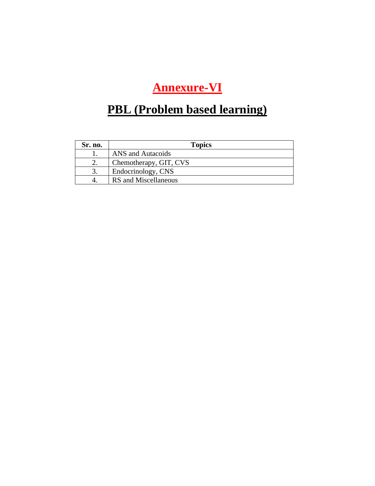# **Annexure-VI**

# **PBL (Problem based learning)**

| <b>Sr. no.</b> | <b>Topics</b>          |
|----------------|------------------------|
|                | ANS and Autacoids      |
|                | Chemotherapy, GIT, CVS |
| 3.             | Endocrinology, CNS     |
|                | RS and Miscellaneous   |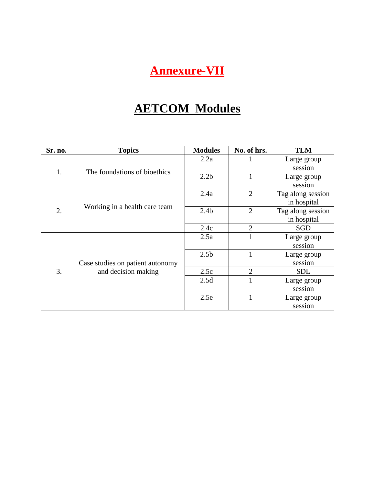# **Annexure-VII**

# **AETCOM Modules**

| Sr. no. | <b>Topics</b>                    | <b>Modules</b>   | No. of hrs.    | <b>TLM</b>        |
|---------|----------------------------------|------------------|----------------|-------------------|
|         |                                  | 2.2a             |                | Large group       |
| 1.      | The foundations of bioethics     |                  |                | session           |
|         |                                  | 2.2 <sub>b</sub> | 1              | Large group       |
|         |                                  |                  |                | session           |
|         |                                  | 2.4a             | $\overline{2}$ | Tag along session |
|         | Working in a health care team    |                  |                | in hospital       |
| 2.      |                                  | 2.4 <sub>b</sub> | $\overline{2}$ | Tag along session |
|         |                                  |                  |                | in hospital       |
|         |                                  | 2.4c             | $\overline{2}$ | SGD               |
|         |                                  | 2.5a             | 1              | Large group       |
| 3.      |                                  |                  |                | session           |
|         |                                  | 2.5 <sub>b</sub> |                | Large group       |
|         | Case studies on patient autonomy |                  |                | session           |
|         | and decision making              | 2.5c             | $\overline{2}$ | <b>SDL</b>        |
|         |                                  | 2.5d             |                | Large group       |
|         |                                  |                  |                | session           |
|         |                                  | 2.5e             | 1              | Large group       |
|         |                                  |                  |                | session           |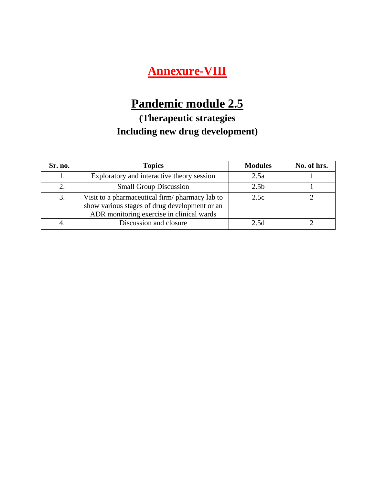## **Annexure-VIII**

# **Pandemic module 2.5**

### **(Therapeutic strategies Including new drug development)**

| Sr. no. | <b>Topics</b>                                                                                                                                 | <b>Modules</b>   | No. of hrs. |
|---------|-----------------------------------------------------------------------------------------------------------------------------------------------|------------------|-------------|
|         | Exploratory and interactive theory session                                                                                                    | 2.5a             |             |
|         | <b>Small Group Discussion</b>                                                                                                                 | 2.5 <sub>b</sub> |             |
| 3.      | Visit to a pharmaceutical firm/ pharmacy lab to<br>show various stages of drug development or an<br>ADR monitoring exercise in clinical wards | 2.5c             |             |
|         | Discussion and closure                                                                                                                        | 2.5d             |             |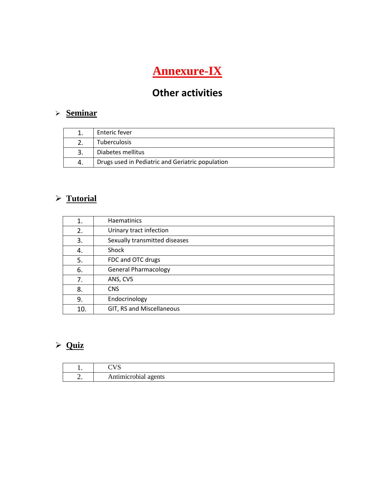# **Annexure-IX**

## **Other activities**

### ➢ **Seminar**

|    | Enteric fever                                    |
|----|--------------------------------------------------|
|    | Tuberculosis                                     |
|    | Diabetes mellitus                                |
| 4. | Drugs used in Pediatric and Geriatric population |

### ➢ **Tutorial**

| 1.  | Haematinics                   |
|-----|-------------------------------|
| 2.  | Urinary tract infection       |
| 3.  | Sexually transmitted diseases |
| 4.  | Shock                         |
| 5.  | FDC and OTC drugs             |
| 6.  | <b>General Pharmacology</b>   |
| 7.  | ANS, CVS                      |
| 8.  | <b>CNS</b>                    |
| 9.  | Endocrinology                 |
| 10. | GIT, RS and Miscellaneous     |

### ➢ **Quiz**

| . .      | $\alpha$<br>∼        |
|----------|----------------------|
| <u>.</u> | Antimicrobial agents |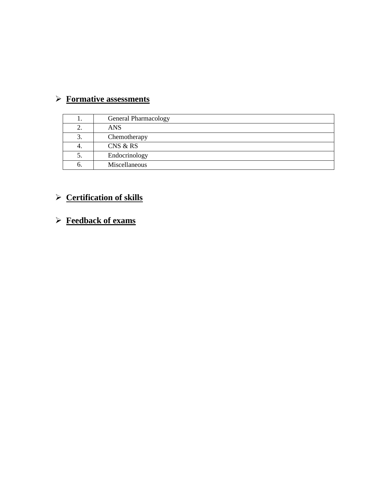### ➢ **Formative assessments**

| ı. | <b>General Pharmacology</b> |
|----|-----------------------------|
| 2. | <b>ANS</b>                  |
| 3. | Chemotherapy                |
| 4. | CNS & RS                    |
| ၁. | Endocrinology               |
| O. | Miscellaneous               |

### ➢ **Certification of skills**

### ➢ **Feedback of exams**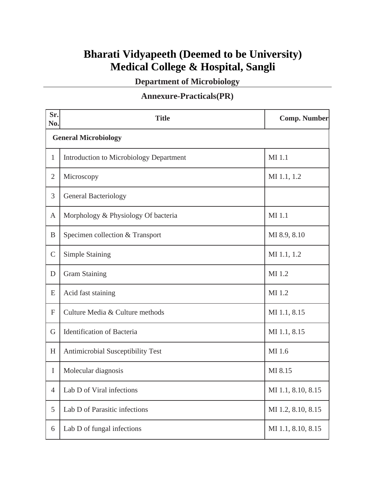### **Bharati Vidyapeeth (Deemed to be University) Medical College & Hospital, Sangli**

**Department of Microbiology**

#### **Annexure-Practicals(PR)**

| Sr.<br>No.     | <b>Title</b>                                   | <b>Comp. Number</b> |  |  |
|----------------|------------------------------------------------|---------------------|--|--|
|                | <b>General Microbiology</b>                    |                     |  |  |
| 1              | <b>Introduction to Microbiology Department</b> | MI 1.1              |  |  |
| $\overline{2}$ | Microscopy                                     | MI 1.1, 1.2         |  |  |
| 3              | <b>General Bacteriology</b>                    |                     |  |  |
| $\mathbf{A}$   | Morphology & Physiology Of bacteria            | MI 1.1              |  |  |
| B              | Specimen collection & Transport                | MI 8.9, 8.10        |  |  |
| $\mathsf{C}$   | <b>Simple Staining</b>                         | MI 1.1, 1.2         |  |  |
| D              | <b>Gram Staining</b>                           | MI 1.2              |  |  |
| E              | Acid fast staining                             | MI 1.2              |  |  |
| $\mathbf F$    | Culture Media & Culture methods                | MI 1.1, 8.15        |  |  |
| G              | <b>Identification of Bacteria</b>              | MI 1.1, 8.15        |  |  |
| H              | <b>Antimicrobial Susceptibility Test</b>       | MI 1.6              |  |  |
| I              | Molecular diagnosis                            | MI 8.15             |  |  |
| $\overline{4}$ | Lab D of Viral infections                      | MI 1.1, 8.10, 8.15  |  |  |
| 5              | Lab D of Parasitic infections                  | MI 1.2, 8.10, 8.15  |  |  |
| 6              | Lab D of fungal infections                     | MI 1.1, 8.10, 8.15  |  |  |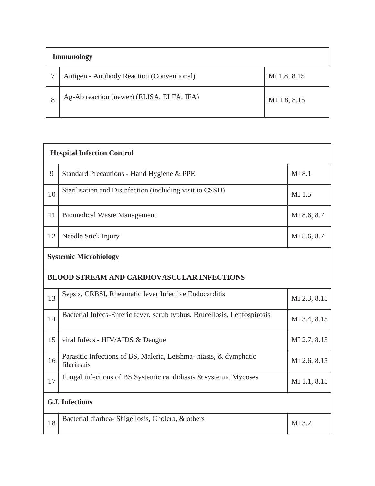| <b>Immunology</b> |                                            |              |
|-------------------|--------------------------------------------|--------------|
|                   | Antigen - Antibody Reaction (Conventional) | Mi 1.8, 8.15 |
| 8                 | Ag-Ab reaction (newer) (ELISA, ELFA, IFA)  | MI 1.8, 8.15 |

| <b>Hospital Infection Control</b> |                                                                                  |              |  |
|-----------------------------------|----------------------------------------------------------------------------------|--------------|--|
| 9                                 | Standard Precautions - Hand Hygiene & PPE                                        | MI 8.1       |  |
| 10                                | Sterilisation and Disinfection (including visit to CSSD)                         | MI 1.5       |  |
| 11                                | <b>Biomedical Waste Management</b>                                               | MI 8.6, 8.7  |  |
| 12                                | Needle Stick Injury                                                              | MI 8.6, 8.7  |  |
|                                   | <b>Systemic Microbiology</b>                                                     |              |  |
|                                   | <b>BLOOD STREAM AND CARDIOVASCULAR INFECTIONS</b>                                |              |  |
| 13                                | Sepsis, CRBSI, Rheumatic fever Infective Endocarditis                            | MI 2.3, 8.15 |  |
| 14                                | Bacterial Infecs-Enteric fever, scrub typhus, Brucellosis, Lepfospirosis         | MI 3.4, 8.15 |  |
| 15                                | viral Infecs - HIV/AIDS & Dengue                                                 | MI 2.7, 8.15 |  |
| 16                                | Parasitic Infections of BS, Maleria, Leishma- niasis, & dymphatic<br>filariasais | MI 2.6, 8.15 |  |
| 17                                | Fungal infections of BS Systemic candidiasis & systemic Mycoses                  | MI 1.1, 8.15 |  |
| <b>G.I. Infections</b>            |                                                                                  |              |  |
| 18                                | Bacterial diarhea- Shigellosis, Cholera, & others                                | MI 3.2       |  |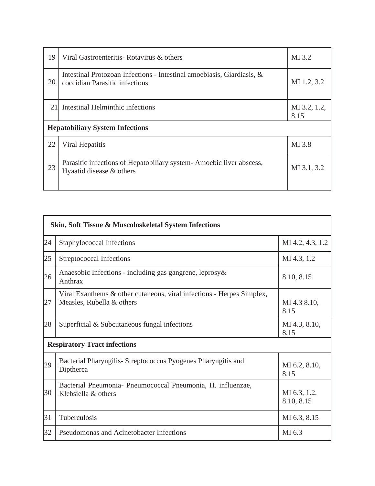| 19                                     | Viral Gastroenteritis- Rotavirus & others                                                                | MI 3.2               |
|----------------------------------------|----------------------------------------------------------------------------------------------------------|----------------------|
| 20                                     | Intestinal Protozoan Infections - Intestinal amoebiasis, Giardiasis, &<br>coccidian Parasitic infections | MI 1.2, 3.2          |
| 21                                     | Intestinal Helminthic infections                                                                         | MI 3.2, 1.2,<br>8.15 |
| <b>Hepatobiliary System Infections</b> |                                                                                                          |                      |
| 22                                     | Viral Hepatitis                                                                                          | MI 3.8               |
| 23                                     | Parasitic infections of Hepatobiliary system - Amoebic liver abscess,<br>Hyaatid disease & others        | MI 3.1, 3.2          |

|    | Skin, Soft Tissue & Muscoloskeletal System Infections                                              |                            |  |
|----|----------------------------------------------------------------------------------------------------|----------------------------|--|
| 24 | Staphylococcal Infections                                                                          | MI 4.2, 4.3, 1.2           |  |
| 25 | Streptococcal Infections                                                                           | MI 4.3, 1.2                |  |
| 26 | Anaesobic Infections - including gas gangrene, leprosy &<br>Anthrax                                | 8.10, 8.15                 |  |
| 27 | Viral Exanthems & other cutaneous, viral infections - Herpes Simplex,<br>Measles, Rubella & others | MI 4.3 8.10,<br>8.15       |  |
| 28 | Superficial & Subcutaneous fungal infections                                                       | MI 4.3, 8.10,<br>8.15      |  |
|    | <b>Respiratory Tract infections</b>                                                                |                            |  |
| 29 | Bacterial Pharyngilis - Streptococcus Pyogenes Pharyngitis and<br>Diptherea                        | MI 6.2, 8.10,<br>8.15      |  |
| 30 | Bacterial Pneumonia- Pneumococcal Pneumonia, H. influenzae,<br>Klebsiella & others                 | MI 6.3, 1.2,<br>8.10, 8.15 |  |
| 31 | Tuberculosis                                                                                       | MI 6.3, 8.15               |  |
| 32 | Pseudomonas and Acinetobacter Infections                                                           | MI 6.3                     |  |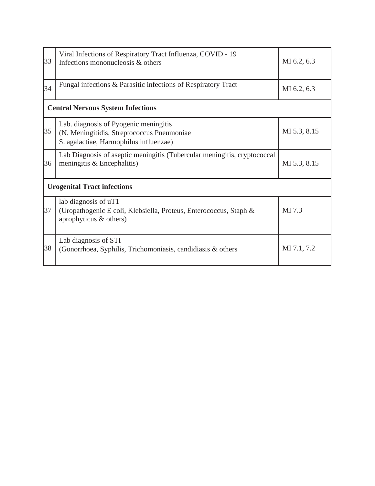| 33 | Viral Infections of Respiratory Tract Influenza, COVID - 19<br>Infections mononucleosis & others                              | MI 6.2, 6.3  |  |
|----|-------------------------------------------------------------------------------------------------------------------------------|--------------|--|
| 34 | Fungal infections & Parasitic infections of Respiratory Tract                                                                 | MI 6.2, 6.3  |  |
|    | <b>Central Nervous System Infections</b>                                                                                      |              |  |
| 35 | Lab. diagnosis of Pyogenic meningitis<br>(N. Meningitidis, Streptococcus Pneumoniae<br>S. agalactiae, Harmophilus influenzae) | MI 5.3, 8.15 |  |
| 36 | Lab Diagnosis of aseptic meningitis (Tubercular meningitis, cryptococcal<br>meningitis & Encephalitis)                        | MI 5.3, 8.15 |  |
|    | <b>Urogenital Tract infections</b>                                                                                            |              |  |
| 37 | lab diagnosis of uT1<br>(Uropathogenic E coli, Klebsiella, Proteus, Enterococcus, Staph &<br>aprophyticus & others)           | MI 7.3       |  |
| 38 | Lab diagnosis of STI<br>(Gonorrhoea, Syphilis, Trichomoniasis, candidiasis & others)                                          | MI 7.1, 7.2  |  |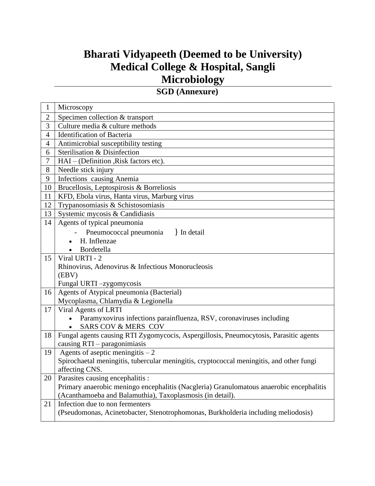### **Bharati Vidyapeeth (Deemed to be University) Medical College & Hospital, Sangli Microbiology**

**SGD (Annexure)**

| $\mathbf{1}$   | Microscopy                                                                                                 |
|----------------|------------------------------------------------------------------------------------------------------------|
| $\overline{2}$ | Specimen collection & transport                                                                            |
| 3              | Culture media & culture methods                                                                            |
| $\overline{4}$ | Identification of Bacteria                                                                                 |
| $\overline{4}$ | Antimicrobial susceptibility testing                                                                       |
| 6              | Sterilisation & Disinfection                                                                               |
| $\overline{7}$ | HAI – (Definition, Risk factors etc).                                                                      |
| 8              | Needle stick injury                                                                                        |
| 9              | <b>Infections</b> causing Anemia                                                                           |
| 10             | Brucellosis, Leptospirosis & Borreliosis                                                                   |
| 11             | KFD, Ebola virus, Hanta virus, Marburg virus                                                               |
| 12             | Trypanosomiasis & Schistosomiasis                                                                          |
| 13             | Systemic mycosis & Candidiasis                                                                             |
| 14             | Agents of typical pneumonia                                                                                |
|                | Pneumococcal pneumonia<br>In detail                                                                        |
|                | H. Inflenzae                                                                                               |
|                | • Bordetella                                                                                               |
| 15             | Viral URTI - 2                                                                                             |
|                | Rhinovirus, Adenovirus & Infectious Monorucleosis                                                          |
|                | (EBV)                                                                                                      |
|                | Fungal URTI-zygomycosis                                                                                    |
| 16             | Agents of Atypical pneumonia (Bacterial)                                                                   |
|                | Mycoplasma, Chlamydia & Legionella                                                                         |
| 17             | Viral Agents of LRTI                                                                                       |
|                | • Paramyxovirus infections parainfluenza, RSV, coronaviruses including                                     |
|                | <b>SARS COV &amp; MERS COV</b>                                                                             |
| 18             | Fungal agents causing RTI Zygomycocis, Aspergillosis, Pneumocytosis, Parasitic agents                      |
|                | causing $RTI$ – paragonimiasis                                                                             |
| 19             | Agents of aseptic meningitis $-2$                                                                          |
|                | Spirochaetal meningitis, tubercular meningitis, cryptococcal meningitis, and other fungi<br>affecting CNS. |
| 20             | Parasites causing encephalitis :                                                                           |
|                | Primary anaerobic meningo encephalitis (Nacgleria) Granulomatous anaerobic encephalitis                    |
|                | (Acanthamoeba and Balamuthia), Taxoplasmosis (in detail).                                                  |
| 21             | Infection due to non fermenters                                                                            |
|                | (Pseudomonas, Acinetobacter, Stenotrophomonas, Burkholderia including meliodosis)                          |
|                |                                                                                                            |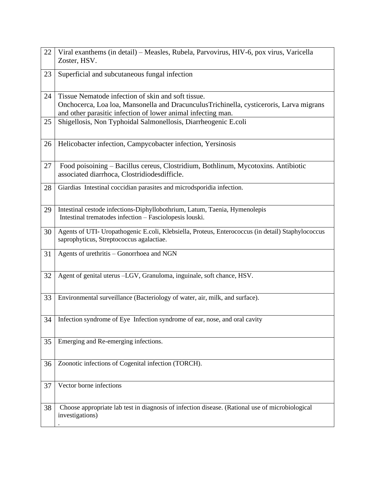| 22 | Viral exanthems (in detail) - Measles, Rubela, Parvovirus, HIV-6, pox virus, Varicella<br>Zoster, HSV.                                                                                                        |
|----|---------------------------------------------------------------------------------------------------------------------------------------------------------------------------------------------------------------|
| 23 | Superficial and subcutaneous fungal infection                                                                                                                                                                 |
| 24 | Tissue Nematode infection of skin and soft tissue.<br>Onchocerca, Loa loa, Mansonella and DracunculusTrichinella, cysticeroris, Larva migrans<br>and other parasitic infection of lower animal infecting man. |
| 25 | Shigellosis, Non Typhoidal Salmonellosis, Diarrheogenic E.coli                                                                                                                                                |
| 26 | Helicobacter infection, Campycobacter infection, Yersinosis                                                                                                                                                   |
| 27 | Food poisoining - Bacillus cereus, Clostridium, Bothlinum, Mycotoxins. Antibiotic<br>associated diarrhoca, Clostridiodesdifficle.                                                                             |
| 28 | Giardias Intestinal coccidian parasites and microdsporidia infection.                                                                                                                                         |
| 29 | Intestinal cestode infections-Diphyllobothrium, Latum, Taenia, Hymenolepis<br>Intestinal trematodes infection - Fasciolopesis louski.                                                                         |
| 30 | Agents of UTI- Uropathogenic E.coli, Klebsiella, Proteus, Enterococcus (in detail) Staphylococcus<br>saprophyticus, Streptococcus agalactiae.                                                                 |
| 31 | Agents of urethritis - Gonorrhoea and NGN                                                                                                                                                                     |
| 32 | Agent of genital uterus -LGV, Granuloma, inguinale, soft chance, HSV.                                                                                                                                         |
| 33 | Environmental surveillance (Bacteriology of water, air, milk, and surface).                                                                                                                                   |
| 34 | Infection syndrome of Eye Infection syndrome of ear, nose, and oral cavity                                                                                                                                    |
| 35 | Emerging and Re-emerging infections.                                                                                                                                                                          |
| 36 | Zoonotic infections of Cogenital infection (TORCH).                                                                                                                                                           |
| 37 | Vector borne infections                                                                                                                                                                                       |
| 38 | Choose appropriate lab test in diagnosis of infection disease. (Rational use of microbiological<br>investigations)                                                                                            |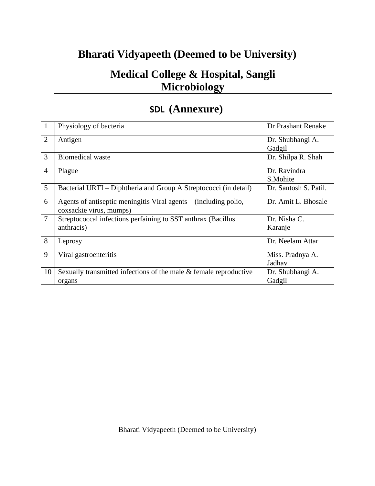### **Bharati Vidyapeeth (Deemed to be University)**

### **Medical College & Hospital, Sangli Microbiology**

### **SDL (Annexure)**

|                | Physiology of bacteria                                                                      | Dr Prashant Renake         |
|----------------|---------------------------------------------------------------------------------------------|----------------------------|
| $\overline{2}$ | Antigen                                                                                     | Dr. Shubhangi A.<br>Gadgil |
| 3              | <b>Biomedical waste</b>                                                                     | Dr. Shilpa R. Shah         |
| $\overline{4}$ | Plague                                                                                      | Dr. Ravindra<br>S.Mohite   |
| 5              | Bacterial URTI – Diphtheria and Group A Streptococci (in detail)                            | Dr. Santosh S. Patil.      |
| 6              | Agents of antiseptic meningitis Viral agents – (including polio,<br>coxsackie virus, mumps) | Dr. Amit L. Bhosale        |
| $\tau$         | Streptococcal infections perfaining to SST anthrax (Bacillus<br>anthracis)                  | Dr. Nisha C.<br>Karanje    |
| 8              | Leprosy                                                                                     | Dr. Neelam Attar           |
| 9              | Viral gastroenteritis                                                                       | Miss. Pradnya A.<br>Jadhav |
| 10             | Sexually transmitted infections of the male & female reproductive<br>organs                 | Dr. Shubhangi A.<br>Gadgil |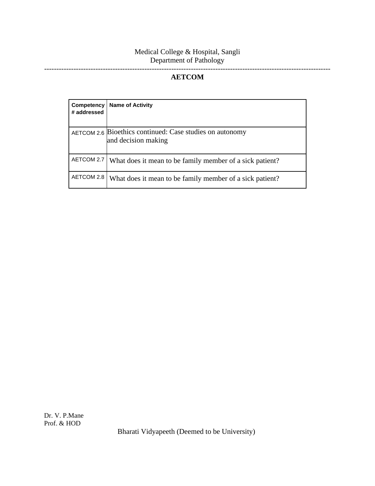#### Medical College & Hospital, Sangli Department of Pathology

#### **AETCOM**

---------------------------------------------------------------------------------------------------------------------

| Competency<br># addressed | <b>Name of Activity</b>                                                         |
|---------------------------|---------------------------------------------------------------------------------|
|                           | AETCOM 2.6 Bioethics continued: Case studies on autonomy<br>and decision making |
| AETCOM 2.7                | What does it mean to be family member of a sick patient?                        |
| AETCOM 2.8                | What does it mean to be family member of a sick patient?                        |

Bharati Vidyapeeth (Deemed to be University)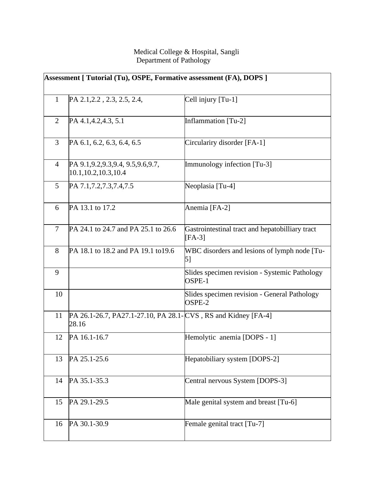#### Medical College & Hospital, Sangli Department of Pathology

| Assessment [ Tutorial (Tu), OSPE, Formative assessment (FA), DOPS ] |                                                                         |                                                             |
|---------------------------------------------------------------------|-------------------------------------------------------------------------|-------------------------------------------------------------|
| $\mathbf{1}$                                                        | PA 2.1, 2.2, 2.3, 2.5, 2.4,                                             | Cell injury [Tu-1]                                          |
| 2                                                                   | PA 4.1, 4.2, 4.3, 5.1                                                   | Inflammation [Tu-2]                                         |
| 3                                                                   | PA 6.1, 6.2, 6.3, 6.4, 6.5                                              | Circulariry disorder [FA-1]                                 |
| $\overline{4}$                                                      | PA 9.1, 9.2, 9.3, 9.4, 9.5, 9.6, 9.7,<br>10.1, 10.2, 10.3, 10.4         | Immunology infection [Tu-3]                                 |
| $\mathfrak{S}$                                                      | PA 7.1, 7.2, 7.3, 7.4, 7.5                                              | Neoplasia [Tu-4]                                            |
| 6                                                                   | PA 13.1 to 17.2                                                         | Anemia [FA-2]                                               |
| $\tau$                                                              | PA 24.1 to 24.7 and PA 25.1 to 26.6                                     | Gastrointestinal tract and hepatobilliary tract<br>$[FA-3]$ |
| 8                                                                   | PA 18.1 to 18.2 and PA 19.1 to 19.6                                     | WBC disorders and lesions of lymph node [Tu-<br>5]          |
| 9                                                                   |                                                                         | Slides specimen revision - Systemic Pathology<br>OSPE-1     |
| 10                                                                  |                                                                         | Slides specimen revision - General Pathology<br>OSPE-2      |
| 11                                                                  | PA 26.1-26.7, PA27.1-27.10, PA 28.1- CVS, RS and Kidney [FA-4]<br>28.16 |                                                             |
| 12                                                                  | PA 16.1-16.7                                                            | Hemolytic anemia [DOPS - 1]                                 |
| 13                                                                  | PA 25.1-25.6                                                            | Hepatobiliary system [DOPS-2]                               |
| 14                                                                  | PA 35.1-35.3                                                            | Central nervous System [DOPS-3]                             |
| 15                                                                  | PA 29.1-29.5                                                            | Male genital system and breast [Tu-6]                       |
| 16                                                                  | PA 30.1-30.9                                                            | Female genital tract [Tu-7]                                 |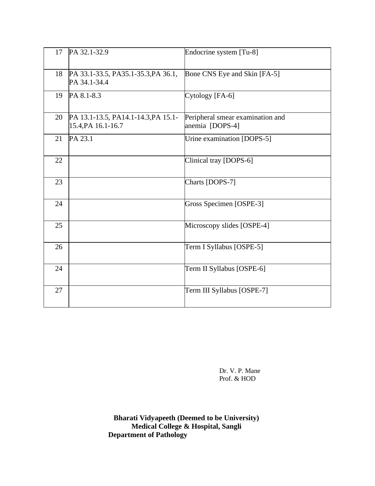| 17 | PA 32.1-32.9                                              | Endocrine system [Tu-8]                             |
|----|-----------------------------------------------------------|-----------------------------------------------------|
| 18 | PA 33.1-33.5, PA35.1-35.3, PA 36.1,<br>PA 34.1-34.4       | Bone CNS Eye and Skin [FA-5]                        |
| 19 | PA 8.1-8.3                                                | Cytology [FA-6]                                     |
| 20 | PA 13.1-13.5, PA14.1-14.3, PA 15.1-<br>15.4, PA 16.1-16.7 | Peripheral smear examination and<br>anemia [DOPS-4] |
| 21 | PA 23.1                                                   | Urine examination [DOPS-5]                          |
| 22 |                                                           | Clinical tray [DOPS-6]                              |
| 23 |                                                           | Charts [DOPS-7]                                     |
| 24 |                                                           | Gross Specimen [OSPE-3]                             |
| 25 |                                                           | Microscopy slides [OSPE-4]                          |
| 26 |                                                           | Term I Syllabus [OSPE-5]                            |
| 24 |                                                           | Term II Syllabus [OSPE-6]                           |
| 27 |                                                           | Term III Syllabus [OSPE-7]                          |

Dr. V. P. Mane Prof. & HOD

**Bharati Vidyapeeth (Deemed to be University) Medical College & Hospital, Sangli Department of Pathology**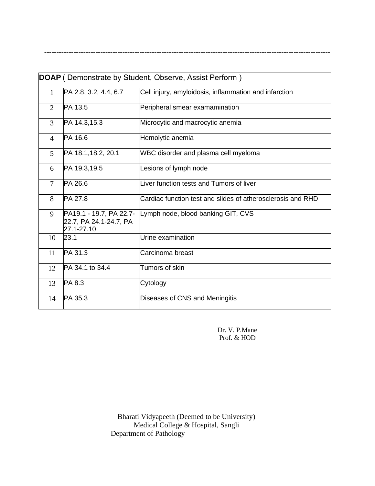| DOAP (Demonstrate by Student, Observe, Assist Perform) |                                                                 |                                                             |  |  |
|--------------------------------------------------------|-----------------------------------------------------------------|-------------------------------------------------------------|--|--|
| $\mathbf{1}$                                           | PA 2.8, 3.2, 4.4, 6.7                                           | Cell injury, amyloidosis, inflammation and infarction       |  |  |
| $\overline{2}$                                         | PA 13.5                                                         | Peripheral smear examamination                              |  |  |
| $\overline{3}$                                         | PA 14.3,15.3                                                    | Microcytic and macrocytic anemia                            |  |  |
| $\overline{4}$                                         | PA 16.6                                                         | Hemolytic anemia                                            |  |  |
| 5                                                      | PA 18.1, 18.2, 20.1                                             | WBC disorder and plasma cell myeloma                        |  |  |
| 6                                                      | PA 19.3,19.5                                                    | Lesions of lymph node                                       |  |  |
| $\overline{7}$                                         | PA 26.6                                                         | Liver function tests and Tumors of liver                    |  |  |
| 8                                                      | PA 27.8                                                         | Cardiac function test and slides of atherosclerosis and RHD |  |  |
| 9                                                      | PA19.1 - 19.7, PA 22.7-<br>22.7, PA 24.1-24.7, PA<br>27.1-27.10 | Lymph node, blood banking GIT, CVS                          |  |  |
| 10                                                     | 23.1                                                            | Urine examination                                           |  |  |
| 11                                                     | PA 31.3                                                         | Carcinoma breast                                            |  |  |
| 12                                                     | PA 34.1 to 34.4                                                 | Tumors of skin                                              |  |  |
| 13                                                     | PA 8.3                                                          | Cytology                                                    |  |  |
| 14                                                     | PA 35.3                                                         | Diseases of CNS and Meningitis                              |  |  |

**---------------------------------------------------------------------------------------------------------------------**

Dr. V. P.Mane Prof. & HOD

Bharati Vidyapeeth (Deemed to be University) Medical College & Hospital, Sangli Department of Pathology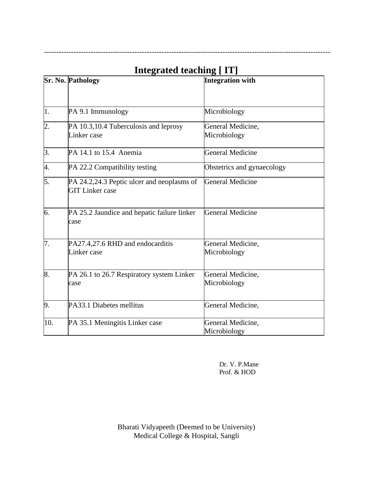|                  | <b>Sr. No. Pathology</b>                                             | 9 L – – J<br><b>Integration with</b> |
|------------------|----------------------------------------------------------------------|--------------------------------------|
|                  |                                                                      |                                      |
| 1.               | PA 9.1 Immunology                                                    | Microbiology                         |
| $\overline{2}$ . | PA 10.3,10.4 Tuberculosis and leprosy<br>Linker case                 | General Medicine,<br>Microbiology    |
| 3.               | PA 14.1 to 15.4 Anemia                                               | <b>General Medicine</b>              |
| 4.               | PA 22.2 Compatibility testing                                        | Obstetrics and gynaecology           |
| 5.               | PA 24.2,24.3 Peptic ulcer and neoplasms of<br><b>GIT Linker case</b> | <b>General Medicine</b>              |
| 6.               | PA 25.2 Jaundice and hepatic failure linker<br>case                  | <b>General Medicine</b>              |
| 7.               | PA27.4,27.6 RHD and endocarditis<br>Linker case                      | General Medicine,<br>Microbiology    |
| 8.               | PA 26.1 to 26.7 Respiratory system Linker<br>case                    | General Medicine,<br>Microbiology    |
| 9.               | PA33.1 Diabetes mellitus                                             | General Medicine,                    |
| 10.              | PA 35.1 Meningitis Linker case                                       | General Medicine,<br>Microbiology    |

### **Integrated teaching [ IT]**

---------------------------------------------------------------------------------------------------------------------

Dr. V. P.Mane Prof. & HOD

Bharati Vidyapeeth (Deemed to be University) Medical College & Hospital, Sangli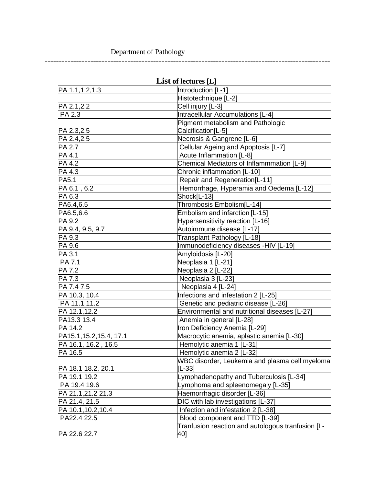#### Department of Pathology

----------------------------------------------------------------------------------------------------

| List of lectures [L]     |                                                   |  |  |
|--------------------------|---------------------------------------------------|--|--|
| PA 1.1, 1.2, 1.3         | Introduction [L-1]                                |  |  |
|                          | Histotechnique [L-2]                              |  |  |
| PA 2.1,2.2               | Cell injury [L-3]                                 |  |  |
| PA 2.3                   | <b>Intracellular Accumulations [L-4]</b>          |  |  |
|                          | Pigment metabolism and Pathologic                 |  |  |
| PA 2.3,2.5               | Calcification[L-5]                                |  |  |
| PA 2.4,2.5               | Necrosis & Gangrene [L-6]                         |  |  |
| PA 2.7                   | Cellular Ageing and Apoptosis [L-7]               |  |  |
| PA 4.1                   | Acute Inflammation [L-8]                          |  |  |
| PA 4.2                   | Chemical Mediators of Inflammmation [L-9]         |  |  |
| PA 4.3                   | Chronic inflammation [L-10]                       |  |  |
| PA5.1                    | Repair and Regeneration[L-11]                     |  |  |
| PA 6.1, 6.2              | Hemorrhage, Hyperamia and Oedema [L-12]           |  |  |
| PA 6.3                   | Shock[L-13]                                       |  |  |
| PA6.4,6.5                | Thrombosis Embolism[L-14]                         |  |  |
| PA6.5,6.6                | Embolism and infarction [L-15]                    |  |  |
| PA 9.2                   | Hypersensitivity reaction [L-16]                  |  |  |
| PA 9.4, 9.5, 9.7         | Autoimmune disease [L-17]                         |  |  |
| PA 9.3                   | Transplant Pathology [L-18]                       |  |  |
| PA 9.6                   | Immunodeficiency diseases -HIV [L-19]             |  |  |
| PA 3.1                   | Amyloidosis [L-20]                                |  |  |
| PA 7.1                   | Neoplasia 1 [L-21]                                |  |  |
| PA 7.2                   | Neoplasia 2 [L-22]                                |  |  |
| PA 7.3                   | Neoplasia 3 [L-23]                                |  |  |
| PA 7.4 7.5               | Neoplasia 4 [L-24]                                |  |  |
| PA 10.3, 10.4            | Infections and infestation 2 [L-25]               |  |  |
| PA 11.1,11.2             | Genetic and pediatric disease [L-26]              |  |  |
| PA 12.1,12.2             | Environmental and nutritional diseases [L-27]     |  |  |
| PA13.3 13.4              | Anemia in general [L-28]                          |  |  |
| PA 14.2                  | Iron Deficiency Anemia [L-29]                     |  |  |
| PA15.1, 15.2, 15.4, 17.1 | Macrocytic anemia, aplastic anemia [L-30]         |  |  |
| PA 16.1, 16.2, 16.5      | Hemolytic anemia 1 [L-31]                         |  |  |
| PA 16.5                  | Hemolytic anemia 2 [L-32]                         |  |  |
|                          | WBC disorder, Leukemia and plasma cell myeloma    |  |  |
| PA 18.1 18.2, 20.1       | ∥L-33]                                            |  |  |
| PA 19.1 19.2             | Lymphadenopathy and Tuberculosis [L-34]           |  |  |
| PA 19.4 19.6             | Lymphoma and spleenomegaly [L-35]                 |  |  |
| PA 21.1,21.2 21.3        | Haemorrhagic disorder [L-36]                      |  |  |
| PA 21.4, 21.5            | DIC with lab investigations [L-37]                |  |  |
| PA 10.1,10.2,10.4        | Infection and infestation 2 [L-38]                |  |  |
| PA22.4 22.5              | Blood component and TTD [L-39]                    |  |  |
|                          | Tranfusion reaction and autologous tranfusion [L- |  |  |
| PA 22.6 22.7             | 40]                                               |  |  |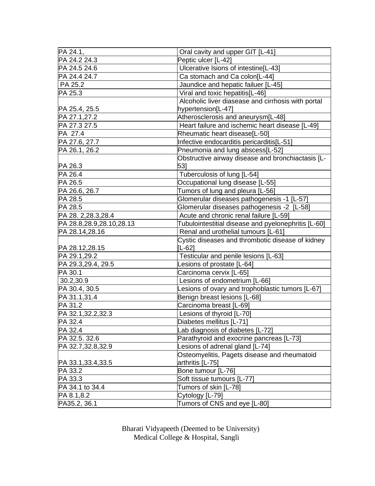| PA 24.1,                       | Oral cavity and upper GIT [L-41]                                 |  |
|--------------------------------|------------------------------------------------------------------|--|
| PA 24.2 24.3                   | Peptic ulcer [L-42]                                              |  |
| PA 24.5 24.6                   | Ulcerative Isions of intestine[L-43]                             |  |
| PA 24.4 24.7                   | Ca stomach and Ca colon[L-44]                                    |  |
| <b>PA 25.2</b>                 | Jaundice and hepatic failuer [L-45]                              |  |
| PA 25.3                        | Viral and toxic hepatitis[L-46]                                  |  |
|                                | Alcoholic liver diasease and cirrhosis with portal               |  |
| PA 25.4, 25.5                  | hypertension[L-47]                                               |  |
| PA 27.1,27.2                   | Atherosclerosis and aneurysm[L-48]                               |  |
| PA 27.3 27.5                   | Heart failure and ischemic heart disease [L-49]                  |  |
| PA 27.4                        | Rheumatic heart disease[L-50]                                    |  |
| PA 27.6, 27.7                  | Infective endocarditis pericarditis[L-51]                        |  |
| PA 26.1, 26.2                  | Pneumonia and lung abscess[L-52]                                 |  |
|                                | Obstructive airway disease and bronchiactasis [L-                |  |
| PA 26.3                        | 531                                                              |  |
| PA 26.4                        | Tuberculosis of lung [L-54]                                      |  |
| PA 26.5                        | Occupational lung disease [L-55]                                 |  |
| PA 26.6, 26.7                  | Tumors of lung and pleura [L-56]                                 |  |
| PA 28.5                        | Glomerular diseases pathogenesis -1 [L-57]                       |  |
| PA 28.5                        | Glomerular diseases pathogenesis -2 [L-58]                       |  |
| PA 28. 2,28.3,28.4             | Acute and chronic renal failure [L-59]                           |  |
| PA 28.8,28.9,28.10,28.13       | Tubulointestitial disease and pyelonephritis [L-60]              |  |
| PA 28.14,28.16                 | Renal and urothelial tumours [L-61]                              |  |
|                                | Cystic diseases and thrombotic disease of kidney<br>$[L-62]$     |  |
| PA 28.12,28.15<br>PA 29.1,29.2 | Testicular and penile lesions [L-63]                             |  |
|                                |                                                                  |  |
| PA 29.3,29.4, 29.5<br>PA 30.1  | Lesions of prostate [L-64]                                       |  |
|                                | Carcinoma cervix [L-65]                                          |  |
| 30.2,30.9<br>PA 30.4, 30.5     | Lesions of endometrium [L-66]                                    |  |
|                                | Lesions of ovary and trophoblastic tumors [L-67]                 |  |
| PA 31.1,31.4<br>PA 31.2        | Benign breast lesions [L-68]<br>Carcinoma breast [L-69]          |  |
|                                |                                                                  |  |
| PA 32.1,32.2,32.3<br>PA 32.4   | Lesions of thyroid [L-70]                                        |  |
|                                | Diabetes mellitus [L-71]                                         |  |
| PA 32.4                        | Lab diagnosis of diabetes [L-72]                                 |  |
| PA 32.5. 32.6                  | Parathyroid and exocrine pancreas [L-73]                         |  |
| PA 32.7,32.8,32.9              | Lesions of adrenal gland [L-74]                                  |  |
| PA 33.1, 33.4, 33.5            | Osteomyelitis, Pagets disease and rheumatoid<br>arthritis [L-75] |  |
| PA 33.2                        | Bone tumour [L-76]                                               |  |
| PA 33.3                        | Soft tissue tumours [L-77]                                       |  |
| PA 34.1 to 34.4                | Tumors of skin [L-78]                                            |  |
| PA 8.1,8.2                     | Cytology [L-79]                                                  |  |
| PA35.2, 36.1                   | Tumors of CNS and eye [L-80]                                     |  |

Bharati Vidyapeeth (Deemed to be University) Medical College & Hospital, Sangli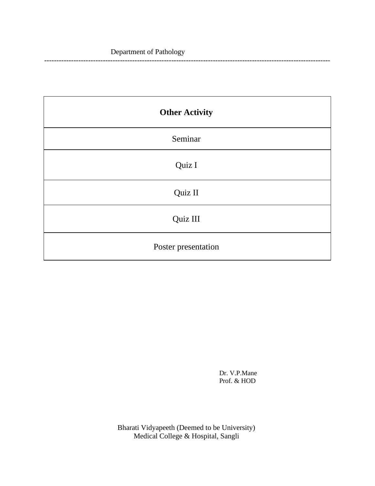#### Department of Pathology

| <b>Other Activity</b> |
|-----------------------|
| Seminar               |
| Quiz I                |
| Quiz II               |
| Quiz III              |
| Poster presentation   |

Dr. V.P.Mane Prof. & HOD

---------------------------------------------------------------------------------------------------------------------

Bharati Vidyapeeth (Deemed to be University) Medical College & Hospital, Sangli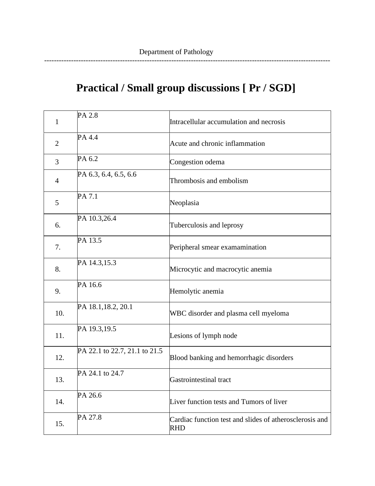# **Practical / Small group discussions [ Pr / SGD]**

---------------------------------------------------------------------------------------------------------------------

| $\mathbf{1}$   | PA 2.8                        | Intracellular accumulation and necrosis                               |
|----------------|-------------------------------|-----------------------------------------------------------------------|
| $\overline{2}$ | PA 4.4                        | Acute and chronic inflammation                                        |
| 3              | PA 6.2                        | Congestion odema                                                      |
| $\overline{4}$ | PA 6.3, 6.4, 6.5, 6.6         | Thrombosis and embolism                                               |
| 5              | PA 7.1                        | Neoplasia                                                             |
| 6.             | PA 10.3,26.4                  | Tuberculosis and leprosy                                              |
| 7.             | PA 13.5                       | Peripheral smear examamination                                        |
| 8.             | PA 14.3,15.3                  | Microcytic and macrocytic anemia                                      |
| 9.             | PA 16.6                       | Hemolytic anemia                                                      |
| 10.            | PA 18.1, 18.2, 20.1           | WBC disorder and plasma cell myeloma                                  |
| 11.            | PA 19.3,19.5                  | Lesions of lymph node                                                 |
| 12.            | PA 22.1 to 22.7, 21.1 to 21.5 | Blood banking and hemorrhagic disorders                               |
| 13.            | PA 24.1 to 24.7               | Gastrointestinal tract                                                |
| 14.            | PA 26.6                       | Liver function tests and Tumors of liver                              |
| 15.            | PA 27.8                       | Cardiac function test and slides of atherosclerosis and<br><b>RHD</b> |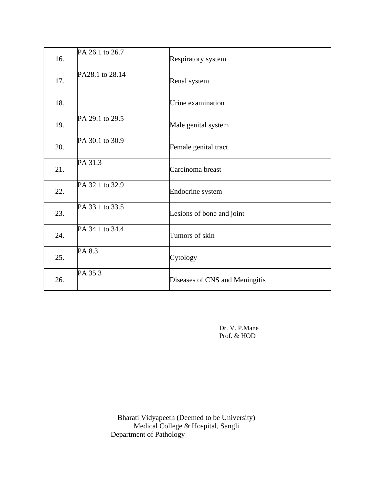| 16. | PA 26.1 to 26.7 | Respiratory system             |
|-----|-----------------|--------------------------------|
| 17. | PA28.1 to 28.14 | Renal system                   |
| 18. |                 | Urine examination              |
| 19. | PA 29.1 to 29.5 | Male genital system            |
| 20. | PA 30.1 to 30.9 | Female genital tract           |
| 21. | PA 31.3         | Carcinoma breast               |
| 22. | PA 32.1 to 32.9 | Endocrine system               |
| 23. | PA 33.1 to 33.5 | Lesions of bone and joint      |
| 24. | PA 34.1 to 34.4 | Tumors of skin                 |
| 25. | PA 8.3          | Cytology                       |
| 26. | PA 35.3         | Diseases of CNS and Meningitis |

Dr. V. P.Mane Prof. & HOD

Bharati Vidyapeeth (Deemed to be University) Medical College & Hospital, Sangli Department of Pathology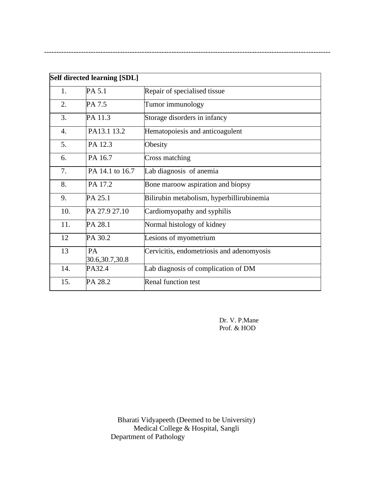| Self directed learning [SDL] |                        |                                           |  |
|------------------------------|------------------------|-------------------------------------------|--|
| 1.                           | PA 5.1                 | Repair of specialised tissue              |  |
| 2.                           | PA 7.5                 | Tumor immunology                          |  |
| 3.                           | PA 11.3                | Storage disorders in infancy              |  |
| $\overline{4}$ .             | PA13.1 13.2            | Hematopoiesis and anticoagulent           |  |
| 5.                           | PA 12.3                | Obesity                                   |  |
| 6.                           | PA 16.7                | Cross matching                            |  |
| 7.                           | PA 14.1 to 16.7        | Lab diagnosis of anemia                   |  |
| 8.                           | PA 17.2                | Bone maroow aspiration and biopsy         |  |
| 9.                           | PA 25.1                | Bilirubin metabolism, hyperbillirubinemia |  |
| 10.                          | PA 27.9 27.10          | Cardiomyopathy and syphilis               |  |
| 11.                          | PA 28.1                | Normal histology of kidney                |  |
| 12                           | PA 30.2                | Lesions of myometrium                     |  |
| 13                           | PA<br>30.6, 30.7, 30.8 | Cervicitis, endometriosis and adenomyosis |  |
| 14.                          | PA32.4                 | Lab diagnosis of complication of DM       |  |
| 15.                          | PA 28.2                | <b>Renal function test</b>                |  |

---------------------------------------------------------------------------------------------------------------------

Dr. V. P.Mane Prof. & HOD

Bharati Vidyapeeth (Deemed to be University) Medical College & Hospital, Sangli Department of Pathology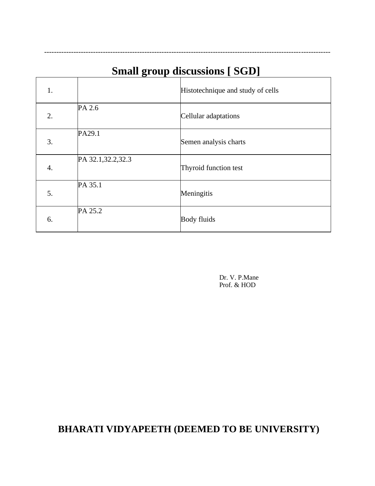## **Small group discussions [ SGD]**

---------------------------------------------------------------------------------------------------------------------

| 1. |                     | Histotechnique and study of cells |
|----|---------------------|-----------------------------------|
| 2. | PA 2.6              | Cellular adaptations              |
| 3. | PA29.1              | Semen analysis charts             |
| 4. | PA 32.1, 32.2, 32.3 | Thyroid function test             |
| 5. | PA 35.1             | Meningitis                        |
| 6. | PA 25.2             | <b>Body fluids</b>                |

Dr. V. P.Mane Prof. & HOD

### **BHARATI VIDYAPEETH (DEEMED TO BE UNIVERSITY)**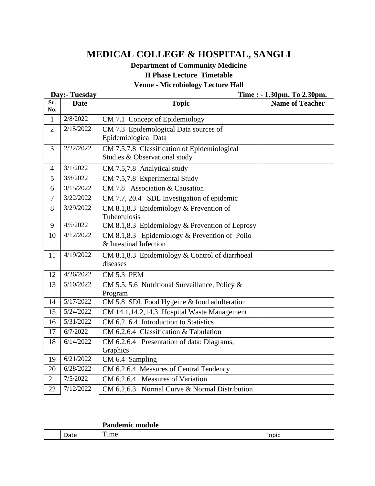### **MEDICAL COLLEGE & HOSPITAL, SANGLI**

#### **Department of Community Medicine II Phase Lecture Timetable Venue - Microbiology Lecture Hall**

|                | Day:- Tuesday | Time : - 1.30pm. To 2.30pm.                     |                        |
|----------------|---------------|-------------------------------------------------|------------------------|
| Sr.            | <b>Date</b>   | <b>Topic</b>                                    | <b>Name of Teacher</b> |
| No.            |               |                                                 |                        |
| $\mathbf{1}$   | 2/8/2022      | CM 7.1 Concept of Epidemiology                  |                        |
| $\overline{2}$ | 2/15/2022     | CM 7.3 Epidemological Data sources of           |                        |
|                |               | Epidemiological Data                            |                        |
| $\overline{3}$ | 2/22/2022     | CM 7.5,7.8 Classification of Epidemiological    |                        |
|                |               | Studies & Observational study                   |                        |
| $\overline{4}$ | 3/1/2022      | CM 7.5,7.8 Analytical study                     |                        |
| 5              | 3/8/2022      | CM 7.5,7.8 Experimental Study                   |                        |
| 6              | 3/15/2022     | CM 7.8 Association & Causation                  |                        |
| $\overline{7}$ | 3/22/2022     | CM 7.7, 20.4 SDL Investigation of epidemic      |                        |
| 8              | 3/29/2022     | CM 8.1,8.3 Epidemiology & Prevention of         |                        |
|                |               | Tuberculosis                                    |                        |
| 9              | 4/5/2022      | CM 8.1,8.3 Epidemiology & Prevention of Leprosy |                        |
| 10             | 4/12/2022     | CM 8.1,8.3 Epidemiology $&$ Prevention of Polio |                        |
|                |               | & Intestinal Infection                          |                        |
| 11             | 4/19/2022     | CM 8.1,8.3 Epidemiology & Control of diarrhoeal |                        |
|                |               | diseases                                        |                        |
| 12             | 4/26/2022     | <b>CM 5.3 PEM</b>                               |                        |
| 13             | 5/10/2022     | CM 5.5, 5.6 Nutritional Surveillance, Policy &  |                        |
|                |               | Program                                         |                        |
| 14             | 5/17/2022     | CM 5.8 SDL Food Hygeine & food adulteration     |                        |
| 15             | 5/24/2022     | CM 14.1,14.2,14.3 Hospital Waste Management     |                        |
| 16             | 5/31/2022     | CM 6.2, 6.4 Introduction to Statistics          |                        |
| 17             | 6/7/2022      | CM 6.2,6.4 Classification & Tabulation          |                        |
| 18             | 6/14/2022     | CM 6.2,6.4 Presentation of data: Diagrams,      |                        |
|                |               | Graphics                                        |                        |
| 19             | 6/21/2022     | CM 6.4 Sampling                                 |                        |
| 20             | 6/28/2022     | CM 6.2,6.4 Measures of Central Tendency         |                        |
| 21             | 7/5/2022      | CM 6.2,6.4 Measures of Variation                |                        |
| 22             | 7/12/2022     | CM 6.2,6.3 Normal Curve & Normal Distribution   |                        |

|             | <u>Uondomio</u><br>module |      |
|-------------|---------------------------|------|
| ገ-ተ<br>Jdle | $\overline{ }$<br>Time    | opic |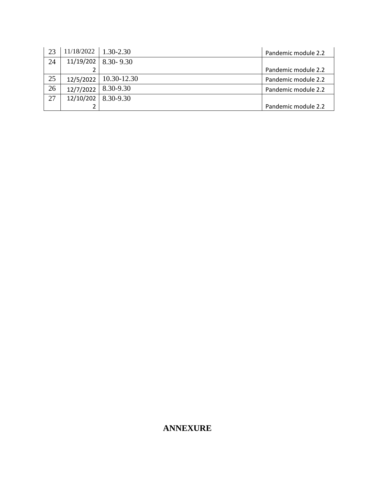| 23 | $11/18/2022$   1.30-2.30 |                         | Pandemic module 2.2 |
|----|--------------------------|-------------------------|---------------------|
| 24 |                          | $11/19/202$   8.30-9.30 |                     |
|    |                          |                         | Pandemic module 2.2 |
| 25 | 12/5/2022                | $  10.30 - 12.30$       | Pandemic module 2.2 |
| 26 | 12/7/2022                | $8.30 - 9.30$           | Pandemic module 2.2 |
| 27 | 12/10/202                | 8.30-9.30               |                     |
|    |                          |                         | Pandemic module 2.2 |

#### **ANNEXURE**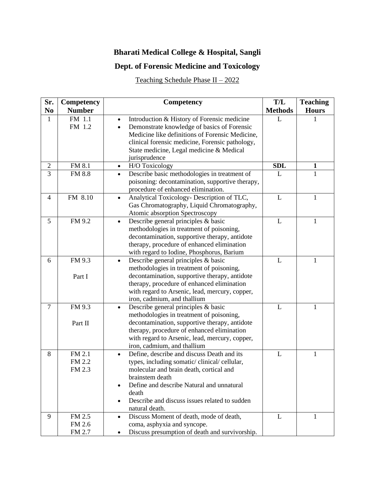### **Bharati Medical College & Hospital, Sangli**

#### **Dept. of Forensic Medicine and Toxicology**

Teaching Schedule Phase II – 2022

| Sr.            | Competency                 | Competency                                                                                                                                                                                                                                                                       | T/L            | <b>Teaching</b> |
|----------------|----------------------------|----------------------------------------------------------------------------------------------------------------------------------------------------------------------------------------------------------------------------------------------------------------------------------|----------------|-----------------|
| N <sub>0</sub> | <b>Number</b>              |                                                                                                                                                                                                                                                                                  | <b>Methods</b> | <b>Hours</b>    |
| 1              | FM 1.1<br>FM 1.2           | Introduction & History of Forensic medicine<br>$\bullet$<br>Demonstrate knowledge of basics of Forensic<br>Medicine like definitions of Forensic Medicine,<br>clinical forensic medicine, Forensic pathology,<br>State medicine, Legal medicine & Medical<br>jurisprudence       | L              |                 |
| $\mathbf{2}$   | FM 8.1                     | H/O Toxicology<br>$\bullet$                                                                                                                                                                                                                                                      | <b>SDL</b>     | $\mathbf{1}$    |
| 3              | <b>FM 8.8</b>              | Describe basic methodologies in treatment of<br>$\bullet$<br>poisoning: decontamination, supportive therapy,<br>procedure of enhanced elimination.                                                                                                                               | L              | 1               |
| 4              | FM 8.10                    | Analytical Toxicology- Description of TLC,<br>$\bullet$<br>Gas Chromatography, Liquid Chromatography,<br>Atomic absorption Spectroscopy                                                                                                                                          | L              | 1               |
| 5              | FM 9.2                     | Describe general principles & basic<br>$\bullet$<br>methodologies in treatment of poisoning,<br>decontamination, supportive therapy, antidote<br>therapy, procedure of enhanced elimination<br>with regard to Iodine, Phosphorus, Barium                                         | L              | 1               |
| 6              | FM 9.3<br>Part I           | Describe general principles & basic<br>$\bullet$<br>methodologies in treatment of poisoning,<br>decontamination, supportive therapy, antidote<br>therapy, procedure of enhanced elimination<br>with regard to Arsenic, lead, mercury, copper,<br>iron, cadmium, and thallium     | L              | 1               |
| $\overline{7}$ | FM 9.3<br>Part II          | Describe general principles & basic<br>$\bullet$<br>methodologies in treatment of poisoning,<br>decontamination, supportive therapy, antidote<br>therapy, procedure of enhanced elimination<br>with regard to Arsenic, lead, mercury, copper,<br>iron, cadmium, and thallium     | L              | 1               |
| 8              | FM 2.1<br>FM 2.2<br>FM 2.3 | Define, describe and discuss Death and its<br>types, including somatic/clinical/cellular,<br>molecular and brain death, cortical and<br>brainstem death<br>Define and describe Natural and unnatural<br>death<br>Describe and discuss issues related to sudden<br>natural death. | L              | 1               |
| 9              | FM 2.5<br>FM 2.6<br>FM 2.7 | Discuss Moment of death, mode of death,<br>$\bullet$<br>coma, asphyxia and syncope.<br>Discuss presumption of death and survivorship.<br>٠                                                                                                                                       | L              | T               |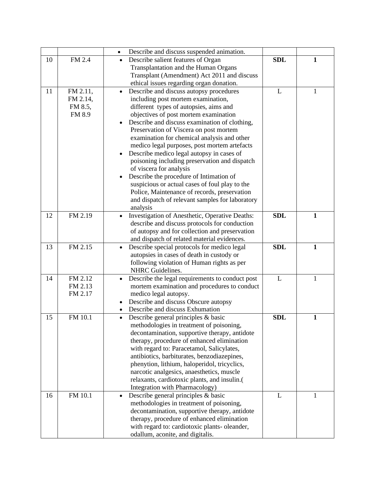|    |          | Describe and discuss suspended animation.<br>$\bullet$                                       |            |              |
|----|----------|----------------------------------------------------------------------------------------------|------------|--------------|
| 10 | FM 2.4   | Describe salient features of Organ<br>$\bullet$                                              | <b>SDL</b> | 1            |
|    |          | Transplantation and the Human Organs                                                         |            |              |
|    |          | Transplant (Amendment) Act 2011 and discuss                                                  |            |              |
|    |          | ethical issues regarding organ donation.                                                     |            |              |
| 11 | FM 2.11, | Describe and discuss autopsy procedures<br>$\bullet$                                         | L          | 1            |
|    | FM 2.14, | including post mortem examination,                                                           |            |              |
|    | FM 8.5,  | different types of autopsies, aims and                                                       |            |              |
|    | FM 8.9   | objectives of post mortem examination                                                        |            |              |
|    |          | Describe and discuss examination of clothing,<br>$\bullet$                                   |            |              |
|    |          | Preservation of Viscera on post mortem                                                       |            |              |
|    |          | examination for chemical analysis and other                                                  |            |              |
|    |          | medico legal purposes, post mortem artefacts                                                 |            |              |
|    |          | Describe medico legal autopsy in cases of<br>$\bullet$                                       |            |              |
|    |          | poisoning including preservation and dispatch                                                |            |              |
|    |          | of viscera for analysis                                                                      |            |              |
|    |          | Describe the procedure of Intimation of<br>$\bullet$                                         |            |              |
|    |          | suspicious or actual cases of foul play to the                                               |            |              |
|    |          | Police, Maintenance of records, preservation                                                 |            |              |
|    |          | and dispatch of relevant samples for laboratory                                              |            |              |
|    |          | analysis                                                                                     |            |              |
| 12 | FM 2.19  | Investigation of Anesthetic, Operative Deaths:                                               | <b>SDL</b> | $\mathbf{1}$ |
|    |          | describe and discuss protocols for conduction                                                |            |              |
|    |          | of autopsy and for collection and preservation                                               |            |              |
|    |          | and dispatch of related material evidences.                                                  |            |              |
| 13 | FM 2.15  | Describe special protocols for medico legal<br>$\bullet$                                     | <b>SDL</b> | $\mathbf{1}$ |
|    |          | autopsies in cases of death in custody or                                                    |            |              |
|    |          | following violation of Human rights as per                                                   |            |              |
|    |          | NHRC Guidelines.                                                                             |            |              |
| 14 | FM 2.12  | Describe the legal requirements to conduct post<br>$\bullet$                                 | L          | 1            |
|    | FM 2.13  | mortem examination and procedures to conduct                                                 |            |              |
|    | FM 2.17  | medico legal autopsy.                                                                        |            |              |
|    |          | Describe and discuss Obscure autopsy<br>$\bullet$<br>Describe and discuss Exhumation         |            |              |
| 15 | FM 10.1  |                                                                                              | <b>SDL</b> | $\mathbf{1}$ |
|    |          | Describe general principles & basic<br>$\bullet$<br>methodologies in treatment of poisoning, |            |              |
|    |          | decontamination, supportive therapy, antidote                                                |            |              |
|    |          | therapy, procedure of enhanced elimination                                                   |            |              |
|    |          | with regard to: Paracetamol, Salicylates,                                                    |            |              |
|    |          | antibiotics, barbiturates, benzodiazepines,                                                  |            |              |
|    |          | phenytion, lithium, haloperidol, tricyclics,                                                 |            |              |
|    |          | narcotic analgesics, anaesthetics, muscle                                                    |            |              |
|    |          | relaxants, cardiotoxic plants, and insulin.(                                                 |            |              |
|    |          | Integration with Pharmacology)                                                               |            |              |
| 16 | FM 10.1  | Describe general principles & basic<br>$\bullet$                                             | L          | 1            |
|    |          | methodologies in treatment of poisoning,                                                     |            |              |
|    |          | decontamination, supportive therapy, antidote                                                |            |              |
|    |          | therapy, procedure of enhanced elimination                                                   |            |              |
|    |          | with regard to: cardiotoxic plants- oleander,                                                |            |              |
|    |          | odallum, aconite, and digitalis.                                                             |            |              |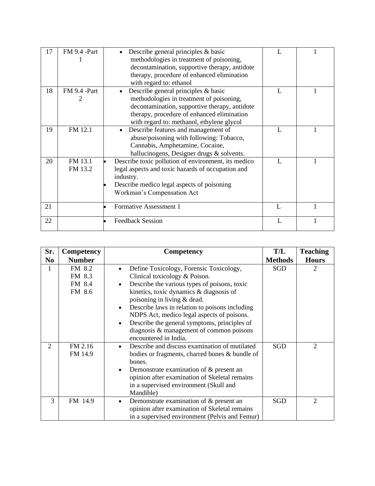| 17 | FM 9.4 -Part       | Describe general principles $\&$ basic<br>methodologies in treatment of poisoning,<br>decontamination, supportive therapy, antidote<br>therapy, procedure of enhanced elimination<br>with regard to: ethanol                |                |  |
|----|--------------------|-----------------------------------------------------------------------------------------------------------------------------------------------------------------------------------------------------------------------------|----------------|--|
| 18 | FM 9.4 -Part<br>2  | Describe general principles & basic<br>methodologies in treatment of poisoning,<br>decontamination, supportive therapy, antidote<br>therapy, procedure of enhanced elimination<br>with regard to: methanol, ethylene glycol | $\mathbf{I}$ . |  |
| 19 | FM 12.1            | Describe features and management of<br>$\bullet$<br>abuse/poisoning with following: Tobacco,<br>Cannabis, Amphetamine, Cocaine,<br>hallucinogens, Designer drugs & solvents.                                                |                |  |
| 20 | FM 13.1<br>FM 13.2 | Describe toxic pollution of environment, its medico<br>legal aspects and toxic hazards of occupation and<br>industry.<br>Describe medico legal aspects of poisoning<br>Workman's Compensation Act                           |                |  |
| 21 |                    | Formative Assessment 1                                                                                                                                                                                                      | $\mathbf{L}$   |  |
| 22 |                    | <b>Feedback Session</b>                                                                                                                                                                                                     |                |  |

| Sr.<br>N <sub>0</sub> | Competency<br><b>Number</b>          | Competency                                                                                                                                                                                                                                                                                                                                                                                                                                                                  | T/L<br><b>Methods</b> | <b>Teaching</b><br><b>Hours</b> |
|-----------------------|--------------------------------------|-----------------------------------------------------------------------------------------------------------------------------------------------------------------------------------------------------------------------------------------------------------------------------------------------------------------------------------------------------------------------------------------------------------------------------------------------------------------------------|-----------------------|---------------------------------|
| 1                     | FM 8.2<br>FM 8.3<br>FM 8.4<br>FM 8.6 | Define Toxicology, Forensic Toxicology,<br>$\bullet$<br>Clinical toxicology & Poison.<br>Describe the various types of poisons, toxic<br>$\bullet$<br>kinetics, toxic dynamics & diagnosis of<br>poisoning in living & dead.<br>Describe laws in relation to poisons including<br>$\bullet$<br>NDPS Act, medico legal aspects of poisons.<br>Describe the general symptoms, principles of<br>$\bullet$<br>diagnosis & management of common poisons<br>encountered in India. | SGD                   | 2                               |
| $\overline{2}$        | FM 2.16<br>FM 14.9                   | Describe and discuss examination of mutilated<br>$\bullet$<br>bodies or fragments, charred bones & bundle of<br>bones.<br>Demonstrate examination of $\&$ present an<br>$\bullet$<br>opinion after examination of Skeletal remains<br>in a supervised environment (Skull and<br>Mandible)                                                                                                                                                                                   | SGD                   | $\overline{2}$                  |
| 3                     | FM 14.9                              | Demonstrate examination of & present an<br>$\bullet$<br>opinion after examination of Skeletal remains<br>in a supervised environment (Pelvis and Femur)                                                                                                                                                                                                                                                                                                                     | <b>SGD</b>            | $\mathcal{D}_{\mathcal{L}}$     |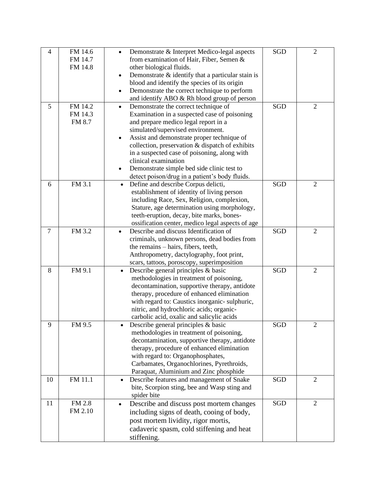| $\overline{4}$ | FM 14.6<br>FM 14.7<br>FM 14.8 | Demonstrate & Interpret Medico-legal aspects<br>$\bullet$<br>from examination of Hair, Fiber, Semen &<br>other biological fluids.<br>Demonstrate $\&$ identify that a particular stain is<br>٠<br>blood and identify the species of its origin<br>Demonstrate the correct technique to perform<br>٠<br>and identify ABO & Rh blood group of person                                                                                                                        | SGD        | $\mathfrak{2}$ |
|----------------|-------------------------------|---------------------------------------------------------------------------------------------------------------------------------------------------------------------------------------------------------------------------------------------------------------------------------------------------------------------------------------------------------------------------------------------------------------------------------------------------------------------------|------------|----------------|
| 5              | FM 14.2<br>FM 14.3<br>FM 8.7  | Demonstrate the correct technique of<br>$\bullet$<br>Examination in a suspected case of poisoning<br>and prepare medico legal report in a<br>simulated/supervised environment.<br>Assist and demonstrate proper technique of<br>٠<br>collection, preservation & dispatch of exhibits<br>in a suspected case of poisoning, along with<br>clinical examination<br>Demonstrate simple bed side clinic test to<br>$\bullet$<br>detect poison/drug in a patient's body fluids. | <b>SGD</b> | $\overline{2}$ |
| 6              | FM 3.1                        | Define and describe Corpus delicti,<br>$\bullet$<br>establishment of identity of living person<br>including Race, Sex, Religion, complexion,<br>Stature, age determination using morphology,<br>teeth-eruption, decay, bite marks, bones-<br>ossification center, medico legal aspects of age                                                                                                                                                                             | SGD        | $\overline{2}$ |
| $\tau$         | FM 3.2                        | Describe and discuss Identification of<br>$\bullet$<br>criminals, unknown persons, dead bodies from<br>the remains – hairs, fibers, teeth,<br>Anthropometry, dactylography, foot print,<br>scars, tattoos, poroscopy, superimposition                                                                                                                                                                                                                                     | <b>SGD</b> | $\overline{c}$ |
| 8              | FM 9.1                        | Describe general principles & basic<br>$\bullet$<br>methodologies in treatment of poisoning,<br>decontamination, supportive therapy, antidote<br>therapy, procedure of enhanced elimination<br>with regard to: Caustics inorganic-sulphuric,<br>nitric, and hydrochloric acids; organic-<br>carbolic acid, oxalic and salicylic acids                                                                                                                                     | <b>SGD</b> | $\overline{2}$ |
| 9              | FM 9.5                        | Describe general principles & basic<br>methodologies in treatment of poisoning,<br>decontamination, supportive therapy, antidote<br>therapy, procedure of enhanced elimination<br>with regard to: Organophosphates,<br>Carbamates, Organochlorines, Pyrethroids,<br>Paraquat, Aluminium and Zinc phosphide                                                                                                                                                                | SGD        | $\overline{2}$ |
| 10             | FM 11.1                       | Describe features and management of Snake<br>$\bullet$<br>bite, Scorpion sting, bee and Wasp sting and<br>spider bite                                                                                                                                                                                                                                                                                                                                                     | SGD        | $\overline{2}$ |
| 11             | FM 2.8<br>FM 2.10             | Describe and discuss post mortem changes<br>$\bullet$<br>including signs of death, cooing of body,<br>post mortem lividity, rigor mortis,<br>cadaveric spasm, cold stiffening and heat<br>stiffening.                                                                                                                                                                                                                                                                     | SGD        | $\overline{2}$ |